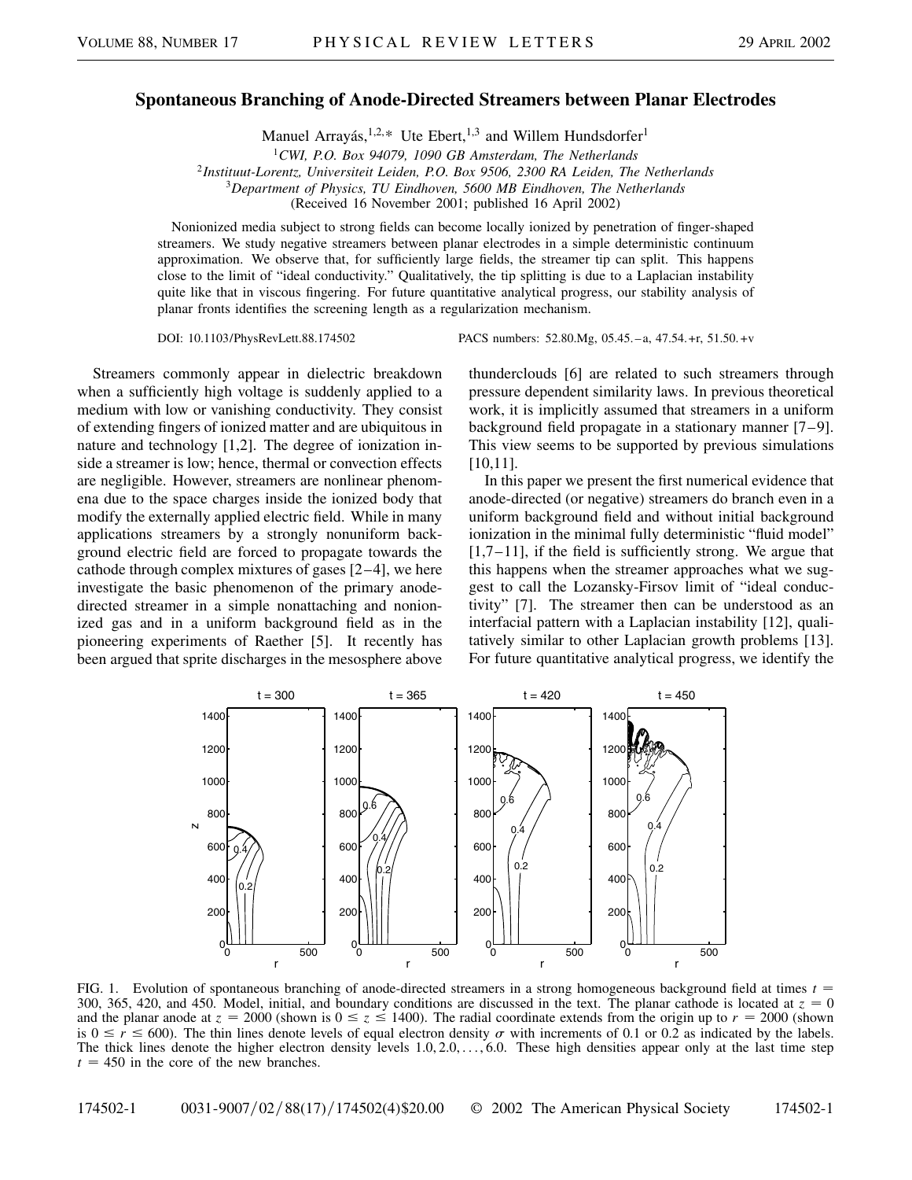## **Spontaneous Branching of Anode-Directed Streamers between Planar Electrodes**

Manuel Arrayás,  $1,2,*$  Ute Ebert,  $1,3$  and Willem Hundsdorfer<sup>1</sup>

<sup>2</sup>*Instituut-Lorentz, Universiteit Leiden, P.O. Box 9506, 2300 RA Leiden, The Netherlands*

<sup>3</sup>*Department of Physics, TU Eindhoven, 5600 MB Eindhoven, The Netherlands*

(Received 16 November 2001; published 16 April 2002)

Nonionized media subject to strong fields can become locally ionized by penetration of finger-shaped streamers. We study negative streamers between planar electrodes in a simple deterministic continuum approximation. We observe that, for sufficiently large fields, the streamer tip can split. This happens close to the limit of "ideal conductivity." Qualitatively, the tip splitting is due to a Laplacian instability quite like that in viscous fingering. For future quantitative analytical progress, our stability analysis of planar fronts identifies the screening length as a regularization mechanism.

Streamers commonly appear in dielectric breakdown when a sufficiently high voltage is suddenly applied to a medium with low or vanishing conductivity. They consist of extending fingers of ionized matter and are ubiquitous in nature and technology [1,2]. The degree of ionization inside a streamer is low; hence, thermal or convection effects are negligible. However, streamers are nonlinear phenomena due to the space charges inside the ionized body that modify the externally applied electric field. While in many applications streamers by a strongly nonuniform background electric field are forced to propagate towards the cathode through complex mixtures of gases [2–4], we here investigate the basic phenomenon of the primary anodedirected streamer in a simple nonattaching and nonionized gas and in a uniform background field as in the pioneering experiments of Raether [5]. It recently has been argued that sprite discharges in the mesosphere above

DOI: 10.1103/PhysRevLett.88.174502 PACS numbers: 52.80.Mg, 05.45. –a, 47.54.+r, 51.50. +v

thunderclouds [6] are related to such streamers through pressure dependent similarity laws. In previous theoretical work, it is implicitly assumed that streamers in a uniform background field propagate in a stationary manner [7–9]. This view seems to be supported by previous simulations [10,11].

In this paper we present the first numerical evidence that anode-directed (or negative) streamers do branch even in a uniform background field and without initial background ionization in the minimal fully deterministic "fluid model"  $[1,7-11]$ , if the field is sufficiently strong. We argue that this happens when the streamer approaches what we suggest to call the Lozansky-Firsov limit of "ideal conductivity" [7]. The streamer then can be understood as an interfacial pattern with a Laplacian instability [12], qualitatively similar to other Laplacian growth problems [13]. For future quantitative analytical progress, we identify the



FIG. 1. Evolution of spontaneous branching of anode-directed streamers in a strong homogeneous background field at times *t* 300, 365, 420, and 450. Model, initial, and boundary conditions are discussed in the text. The planar cathode is located at  $z = 0$ and the planar anode at  $z = 2000$  (shown is  $0 \le z \le 1400$ ). The radial coordinate extends from the origin up to  $r = 2000$  (shown is  $0 \le r \le 600$ . The thin lines denote levels of equal electron density  $\sigma$  with increments of 0.1 or 0.2 as indicated by the labels. The thick lines denote the higher electron density levels  $1.0, 2.0, \ldots, 6.0$ . These high densities appear only at the last time step  $t = 450$  in the core of the new branches.

<sup>1</sup>*CWI, P.O. Box 94079, 1090 GB Amsterdam, The Netherlands*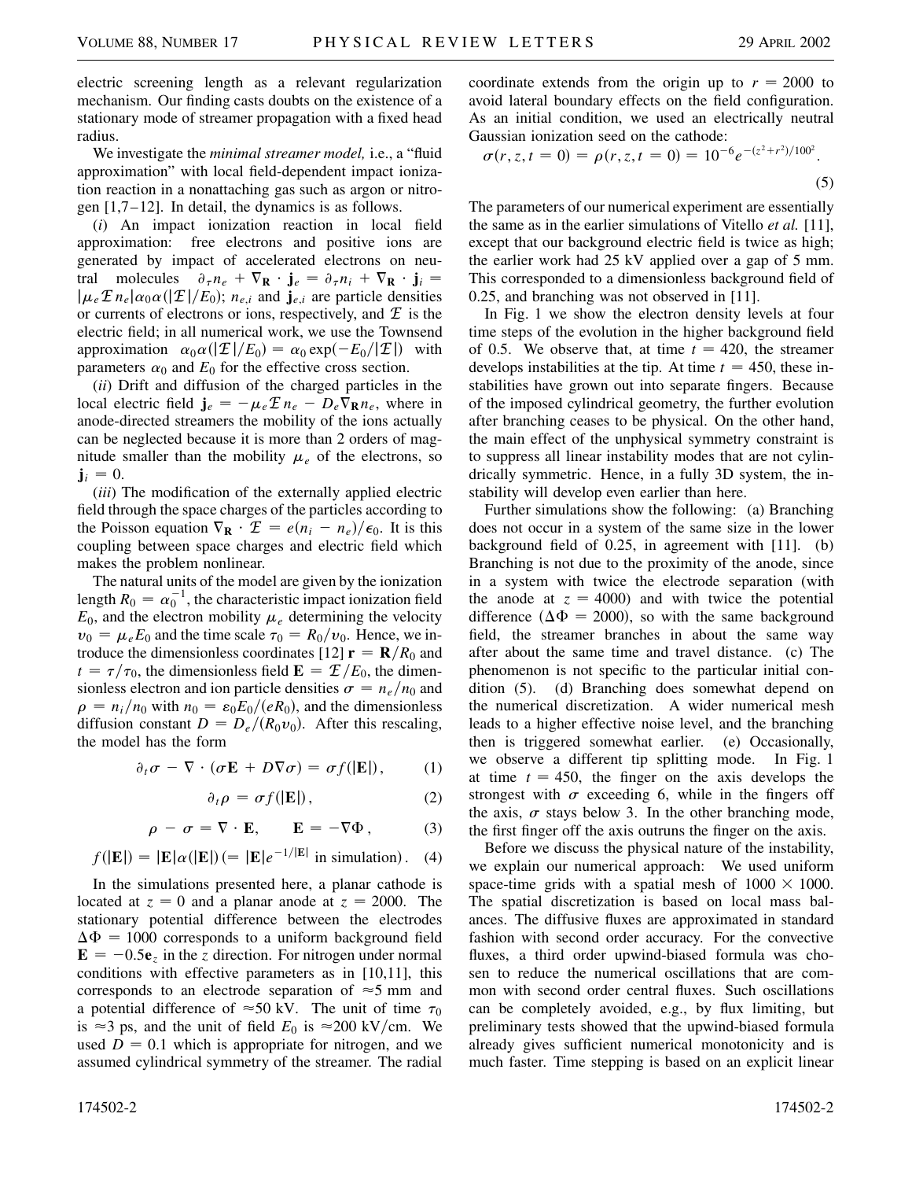electric screening length as a relevant regularization mechanism. Our finding casts doubts on the existence of a stationary mode of streamer propagation with a fixed head radius.

We investigate the *minimal streamer model,* i.e., a "fluid approximation" with local field-dependent impact ionization reaction in a nonattaching gas such as argon or nitrogen [1,7–12]. In detail, the dynamics is as follows.

(*i*) An impact ionization reaction in local field approximation: free electrons and positive ions are generated by impact of accelerated electrons on neutral molecules  $\partial_{\tau} n_e + \nabla_{\mathbf{R}} \cdot \mathbf{j}_e = \partial_{\tau} n_i + \nabla_{\mathbf{R}} \cdot \mathbf{j}_i =$  $|\mu_e \mathcal{I} n_e| \alpha_0 \alpha (|\mathcal{I}|/E_0)$ ;  $n_{e,i}$  and  $\mathbf{j}_{e,i}$  are particle densities or currents of electrons or ions, respectively, and  $E$  is the electric field; in all numerical work, we use the Townsend approximation  $\alpha_0 \alpha(|\mathcal{I}|/E_0) = \alpha_0 \exp(-E_0/|\mathcal{I}|)$  with parameters  $\alpha_0$  and  $E_0$  for the effective cross section.

(*ii*) Drift and diffusion of the charged particles in the local electric field  $\mathbf{j}_e = -\mu_e \mathcal{F} n_e - D_e \nabla_{\mathbf{R}} n_e$ , where in anode-directed streamers the mobility of the ions actually can be neglected because it is more than 2 orders of magnitude smaller than the mobility  $\mu_e$  of the electrons, so  $\mathbf{j}_i = 0.$ 

(*iii*) The modification of the externally applied electric field through the space charges of the particles according to the Poisson equation  $\nabla_{\mathbf{R}} \cdot \mathcal{I} = e(n_i - n_e)/\epsilon_0$ . It is this coupling between space charges and electric field which makes the problem nonlinear.

The natural units of the model are given by the ionization length  $R_0 = \alpha_0^{-1}$ , the characteristic impact ionization field  $E_0$ , and the electron mobility  $\mu_e$  determining the velocity  $v_0 = \mu_e E_0$  and the time scale  $\tau_0 = R_0/v_0$ . Hence, we introduce the dimensionless coordinates [12]  $\mathbf{r} = \mathbf{R}/R_0$  and  $t = \tau/\tau_0$ , the dimensionless field  $\mathbf{E} = \mathcal{L}/E_0$ , the dimensionless electron and ion particle densities  $\sigma = n_e/n_0$  and  $\rho = n_i/n_0$  with  $n_0 = \varepsilon_0 E_0/(eR_0)$ , and the dimensionless diffusion constant  $D = D_e / (R_0 v_0)$ . After this rescaling, the model has the form

$$
\partial_t \sigma - \nabla \cdot (\sigma \mathbf{E} + D \nabla \sigma) = \sigma f(|\mathbf{E}|), \qquad (1)
$$

$$
\partial_t \rho = \sigma f(|\mathbf{E}|), \tag{2}
$$

$$
\rho - \sigma = \nabla \cdot \mathbf{E}, \qquad \mathbf{E} = -\nabla \Phi, \tag{3}
$$

$$
f(|\mathbf{E}|) = |\mathbf{E}|\alpha(|\mathbf{E}|) (= |\mathbf{E}|e^{-1/|\mathbf{E}|} \text{ in simulation}). \quad (4)
$$

In the simulations presented here, a planar cathode is located at  $z = 0$  and a planar anode at  $z = 2000$ . The stationary potential difference between the electrodes  $\Delta \Phi = 1000$  corresponds to a uniform background field  $\mathbf{E} = -0.5\mathbf{e}$ <sub>*z*</sub> in the *z* direction. For nitrogen under normal conditions with effective parameters as in [10,11], this corresponds to an electrode separation of  $\approx$  5 mm and a potential difference of  $\approx 50$  kV. The unit of time  $\tau_0$ is  $\approx$ 3 ps, and the unit of field  $E_0$  is  $\approx$ 200 kV/cm. We used  $D = 0.1$  which is appropriate for nitrogen, and we assumed cylindrical symmetry of the streamer. The radial coordinate extends from the origin up to  $r = 2000$  to avoid lateral boundary effects on the field configuration. As an initial condition, we used an electrically neutral Gaussian ionization seed on the cathode: *z*<sup>2</sup>1*r*<sup>2</sup>100<sup>2</sup>

$$
\sigma(r, z, t = 0) = \rho(r, z, t = 0) = 10^{-6} e^{-(z^2 + r^2)/100^2}.
$$
\n(5)

The parameters of our numerical experiment are essentially the same as in the earlier simulations of Vitello *et al.* [11], except that our background electric field is twice as high; the earlier work had 25 kV applied over a gap of 5 mm. This corresponded to a dimensionless background field of 0.25, and branching was not observed in [11].

In Fig. 1 we show the electron density levels at four time steps of the evolution in the higher background field of 0.5. We observe that, at time  $t = 420$ , the streamer develops instabilities at the tip. At time  $t = 450$ , these instabilities have grown out into separate fingers. Because of the imposed cylindrical geometry, the further evolution after branching ceases to be physical. On the other hand, the main effect of the unphysical symmetry constraint is to suppress all linear instability modes that are not cylindrically symmetric. Hence, in a fully 3D system, the instability will develop even earlier than here.

Further simulations show the following: (a) Branching does not occur in a system of the same size in the lower background field of 0.25, in agreement with [11]. (b) Branching is not due to the proximity of the anode, since in a system with twice the electrode separation (with the anode at  $z = 4000$  and with twice the potential difference ( $\Delta \Phi = 2000$ ), so with the same background field, the streamer branches in about the same way after about the same time and travel distance. (c) The phenomenon is not specific to the particular initial condition (5). (d) Branching does somewhat depend on the numerical discretization. A wider numerical mesh leads to a higher effective noise level, and the branching then is triggered somewhat earlier. (e) Occasionally, we observe a different tip splitting mode. In Fig. 1 at time  $t = 450$ , the finger on the axis develops the strongest with  $\sigma$  exceeding 6, while in the fingers off the axis,  $\sigma$  stays below 3. In the other branching mode, the first finger off the axis outruns the finger on the axis.

Before we discuss the physical nature of the instability, we explain our numerical approach: We used uniform space-time grids with a spatial mesh of  $1000 \times 1000$ . The spatial discretization is based on local mass balances. The diffusive fluxes are approximated in standard fashion with second order accuracy. For the convective fluxes, a third order upwind-biased formula was chosen to reduce the numerical oscillations that are common with second order central fluxes. Such oscillations can be completely avoided, e.g., by flux limiting, but preliminary tests showed that the upwind-biased formula already gives sufficient numerical monotonicity and is much faster. Time stepping is based on an explicit linear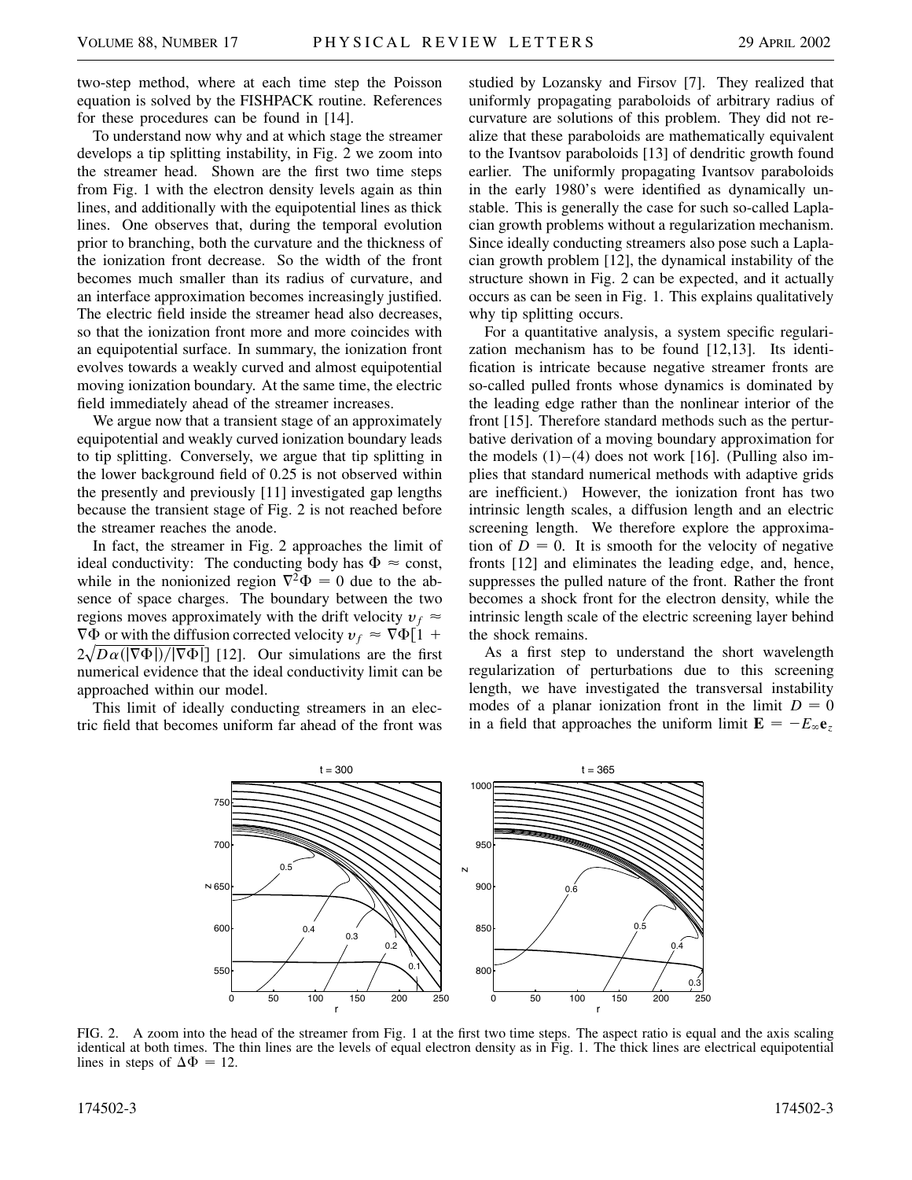two-step method, where at each time step the Poisson equation is solved by the FISHPACK routine. References for these procedures can be found in [14].

To understand now why and at which stage the streamer develops a tip splitting instability, in Fig. 2 we zoom into the streamer head. Shown are the first two time steps from Fig. 1 with the electron density levels again as thin lines, and additionally with the equipotential lines as thick lines. One observes that, during the temporal evolution prior to branching, both the curvature and the thickness of the ionization front decrease. So the width of the front becomes much smaller than its radius of curvature, and an interface approximation becomes increasingly justified. The electric field inside the streamer head also decreases, so that the ionization front more and more coincides with an equipotential surface. In summary, the ionization front evolves towards a weakly curved and almost equipotential moving ionization boundary. At the same time, the electric field immediately ahead of the streamer increases.

We argue now that a transient stage of an approximately equipotential and weakly curved ionization boundary leads to tip splitting. Conversely, we argue that tip splitting in the lower background field of 0.25 is not observed within the presently and previously [11] investigated gap lengths because the transient stage of Fig. 2 is not reached before the streamer reaches the anode.

In fact, the streamer in Fig. 2 approaches the limit of ideal conductivity: The conducting body has  $\Phi \approx$  const, while in the nonionized region  $\nabla^2 \Phi = 0$  due to the absence of space charges. The boundary between the two regions moves approximately with the drift velocity  $v_f \approx$  $\nabla \Phi$  or with the diffusion corrected velocity  $v_f \approx \nabla \Phi[1 +$  $2\sqrt{D\alpha(|\nabla\Phi|)/|\nabla\Phi|}$  [12]. Our simulations are the first numerical evidence that the ideal conductivity limit can be approached within our model.

This limit of ideally conducting streamers in an electric field that becomes uniform far ahead of the front was studied by Lozansky and Firsov [7]. They realized that uniformly propagating paraboloids of arbitrary radius of curvature are solutions of this problem. They did not realize that these paraboloids are mathematically equivalent to the Ivantsov paraboloids [13] of dendritic growth found earlier. The uniformly propagating Ivantsov paraboloids in the early 1980's were identified as dynamically unstable. This is generally the case for such so-called Laplacian growth problems without a regularization mechanism. Since ideally conducting streamers also pose such a Laplacian growth problem [12], the dynamical instability of the structure shown in Fig. 2 can be expected, and it actually occurs as can be seen in Fig. 1. This explains qualitatively why tip splitting occurs.

For a quantitative analysis, a system specific regularization mechanism has to be found [12,13]. Its identification is intricate because negative streamer fronts are so-called pulled fronts whose dynamics is dominated by the leading edge rather than the nonlinear interior of the front [15]. Therefore standard methods such as the perturbative derivation of a moving boundary approximation for the models  $(1)$ – $(4)$  does not work [16]. (Pulling also implies that standard numerical methods with adaptive grids are inefficient.) However, the ionization front has two intrinsic length scales, a diffusion length and an electric screening length. We therefore explore the approximation of  $D = 0$ . It is smooth for the velocity of negative fronts [12] and eliminates the leading edge, and, hence, suppresses the pulled nature of the front. Rather the front becomes a shock front for the electron density, while the intrinsic length scale of the electric screening layer behind the shock remains.

As a first step to understand the short wavelength regularization of perturbations due to this screening length, we have investigated the transversal instability modes of a planar ionization front in the limit  $D = 0$ in a field that approaches the uniform limit  $\mathbf{E} = -E_{\infty} \mathbf{e}_z$ 



FIG. 2. A zoom into the head of the streamer from Fig. 1 at the first two time steps. The aspect ratio is equal and the axis scaling identical at both times. The thin lines are the levels of equal electron density as in Fig. 1. The thick lines are electrical equipotential lines in steps of  $\Delta \Phi = 12$ .